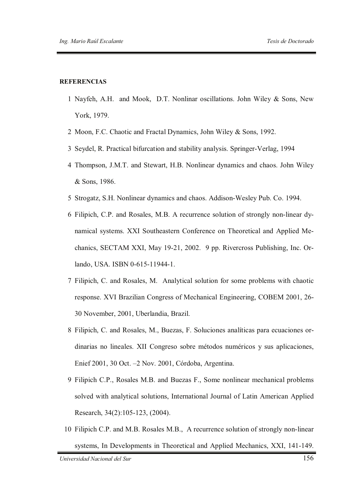## **REFERENCIAS**

- 1 Nayfeh, A.H. and Mook, D.T. Nonlinar oscillations. John Wiley & Sons, New York, 1979.
- 2 Moon, F.C. Chaotic and Fractal Dynamics, John Wiley & Sons, 1992.
- 3 Seydel, R. Practical bifurcation and stability analysis. Springer-Verlag, 1994
- 4 Thompson, J.M.T. and Stewart, H.B. Nonlinear dynamics and chaos. John Wiley & Sons, 1986.
- 5 Strogatz, S.H. Nonlinear dynamics and chaos. Addison-Wesley Pub. Co. 1994.
- 6 Filipich, C.P. and Rosales, M.B. A recurrence solution of strongly non-linear dynamical systems. XXI Southeastern Conference on Theoretical and Applied Mechanics, SECTAM XXI, May 19-21, 2002. 9 pp. Rivercross Publishing, Inc. Orlando, USA. ISBN 0-615-11944-1.
- 7 Filipich, C. and Rosales, M. Analytical solution for some problems with chaotic response. XVI Brazilian Congress of Mechanical Engineering, COBEM 2001, 26- 30 November, 2001, Uberlandia, Brazil.
- 8 Filipich, C. and Rosales, M., Buezas, F. Soluciones analíticas para ecuaciones ordinarias no lineales. XII Congreso sobre métodos numéricos y sus aplicaciones, Enief 2001, 30 Oct. –2 Nov. 2001, Córdoba, Argentina.
- 9 Filipich C.P., Rosales M.B. and Buezas F., Some nonlinear mechanical problems solved with analytical solutions, International Journal of Latin American Applied Research, 34(2):105-123, (2004).
- 10 Filipich C.P. and M.B. Rosales M.B., A recurrence solution of strongly non-linear systems, In Developments in Theoretical and Applied Mechanics, XXI, 141-149.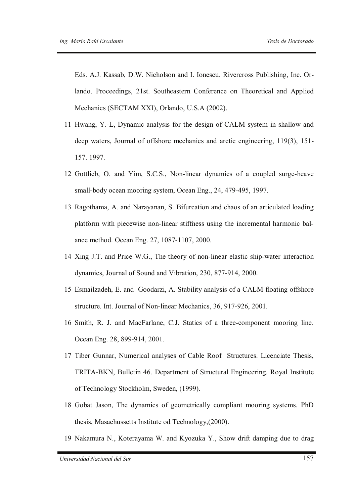Eds. A.J. Kassab, D.W. Nicholson and I. Ionescu. Rivercross Publishing, Inc. Orlando. Proceedings, 21st. Southeastern Conference on Theoretical and Applied Mechanics (SECTAM XXI), Orlando, U.S.A (2002).

- 11 Hwang, Y.-L, Dynamic analysis for the design of CALM system in shallow and deep waters, Journal of offshore mechanics and arctic engineering, 119(3), 151- 157. 1997.
- 12 Gottlieb, O. and Yim, S.C.S., Non-linear dynamics of a coupled surge-heave small-body ocean mooring system, Ocean Eng., 24, 479-495, 1997.
- 13 Ragothama, A. and Narayanan, S. Bifurcation and chaos of an articulated loading platform with piecewise non-linear stiffness using the incremental harmonic balance method. Ocean Eng. 27, 1087-1107, 2000.
- 14 Xing J.T. and Price W.G., The theory of non-linear elastic ship-water interaction dynamics, Journal of Sound and Vibration, 230, 877-914, 2000.
- 15 Esmailzadeh, E. and Goodarzi, A. Stability analysis of a CALM floating offshore structure. Int. Journal of Non-linear Mechanics, 36, 917-926, 2001.
- 16 Smith, R. J. and MacFarlane, C.J. Statics of a three-component mooring line. Ocean Eng. 28, 899-914, 2001.
- 17 Tiber Gunnar, Numerical analyses of Cable Roof Structures. Licenciate Thesis, TRITA-BKN, Bulletin 46. Department of Structural Engineering. Royal Institute of Technology Stockholm, Sweden, (1999).
- 18 Gobat Jason, The dynamics of geometrically compliant mooring systems. PhD thesis, Masachussetts Institute od Technology,(2000).
- 19 Nakamura N., Koterayama W. and Kyozuka Y., Show drift damping due to drag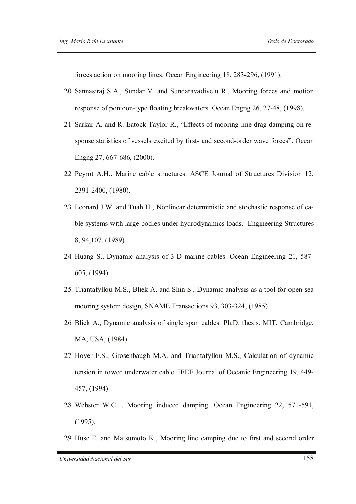forces action on mooring lines. Ocean Engineering 18, 283-296, (1991).

- 20 Sannasiraj S.A., Sundar V. and Sundaravadivelu R., Mooring forces and motion response of pontoon-type floating breakwaters. Ocean Engng 26, 27-48, (1998).
- 21 Sarkar A. and R. Eatock Taylor R., "Effects of mooring line drag damping on response statistics of vessels excited by first- and second-order wave forces". Ocean Engng 27, 667-686, (2000).
- 22 Peyrot A.H., Marine cable structures. ASCE Journal of Structures Division 12, 2391-2400, (1980).
- 23 Leonard J.W. and Tuah H., Nonlinear deterministic and stochastic response of cable systems with large bodies under hydrodynamics loads. Engineering Structures 8, 94,107, (1989).
- 24 Huang S., Dynamic analysis of 3-D marine cables. Ocean Engineering 21, 587- 605, (1994).
- 25 Triantafyllou M.S., Bliek A. and Shin S., Dynamic analysis as a tool for open-sea mooring system design, SNAME Transactions 93, 303-324, (1985).
- 26 Bliek A., Dynamic analysis of single span cables. Ph.D. thesis. MIT, Cambridge, MA, USA, (1984).
- 27 Hover F.S., Grosenbaugh M.A. and Triantafyllou M.S., Calculation of dynamic tension in towed underwater cable. IEEE Journal of Oceanic Engineering 19, 449- 457, (1994).
- 28 Webster W.C. , Mooring induced damping. Ocean Engineering 22, 571-591, (1995).
- 29 Huse E. and Matsumoto K., Mooring line camping due to first and second order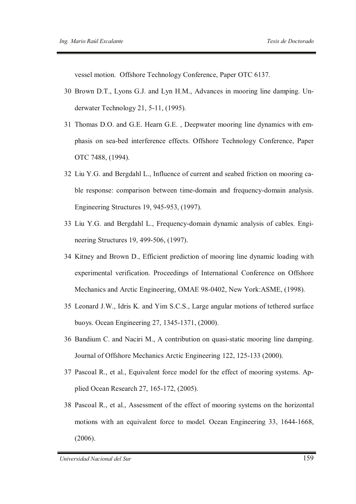vessel motion. Offshore Technology Conference, Paper OTC 6137.

- 30 Brown D.T., Lyons G.J. and Lyn H.M., Advances in mooring line damping. Underwater Technology 21, 5-11, (1995).
- 31 Thomas D.O. and G.E. Hearn G.E. , Deepwater mooring line dynamics with emphasis on sea-bed interference effects. Offshore Technology Conference, Paper OTC 7488, (1994).
- 32 Liu Y.G. and Bergdahl L., Influence of current and seabed friction on mooring cable response: comparison between time-domain and frequency-domain analysis. Engineering Structures 19, 945-953, (1997).
- 33 Liu Y.G. and Bergdahl L., Frequency-domain dynamic analysis of cables. Engineering Structures 19, 499-506, (1997).
- 34 Kitney and Brown D., Efficient prediction of mooring line dynamic loading with experimental verification. Proceedings of International Conference on Offshore Mechanics and Arctic Engineering, OMAE 98-0402, New York:ASME, (1998).
- 35 Leonard J.W., Idris K. and Yim S.C.S., Large angular motions of tethered surface buoys. Ocean Engineering 27, 1345-1371, (2000).
- 36 Bandium C. and Naciri M., A contribution on quasi-static mooring line damping. Journal of Offshore Mechanics Arctic Engineering 122, 125-133 (2000).
- 37 Pascoal R., et al., Equivalent force model for the effect of mooring systems. Applied Ocean Research 27, 165-172, (2005).
- 38 Pascoal R., et al., Assessment of the effect of mooring systems on the horizontal motions with an equivalent force to model. Ocean Engineering 33, 1644-1668, (2006).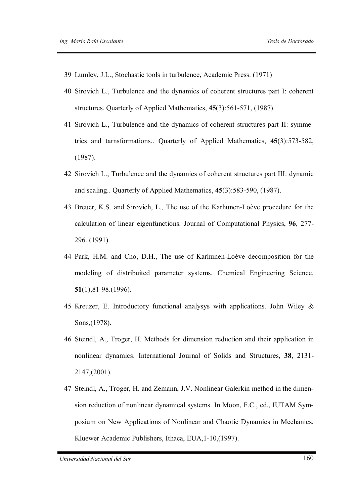- 39 Lumley, J.L., Stochastic tools in turbulence, Academic Press. (1971)
- 40 Sirovich L., Turbulence and the dynamics of coherent structures part I: coherent structures. Quarterly of Applied Mathematics, **45**(3):561-571, (1987).
- 41 Sirovich L., Turbulence and the dynamics of coherent structures part II: symmetries and tarnsformations.. Quarterly of Applied Mathematics, **45**(3):573-582, (1987).
- 42 Sirovich L., Turbulence and the dynamics of coherent structures part III: dynamic and scaling.. Quarterly of Applied Mathematics, **45**(3):583-590, (1987).
- 43 Breuer, K.S. and Sirovich, L., The use of the Karhunen-Loève procedure for the calculation of linear eigenfunctions. Journal of Computational Physics, **96**, 277- 296. (1991).
- 44 Park, H.M. and Cho, D.H., The use of Karhunen-Loève decomposition for the modeling of distribuited parameter systems. Chemical Engineering Science, **51**(1),81-98.(1996).
- 45 Kreuzer, E. Introductory functional analysys with applications. John Wiley & Sons,(1978).
- 46 Steindl, A., Troger, H. Methods for dimension reduction and their application in nonlinear dynamics. International Journal of Solids and Structures, **38**, 2131- 2147,(2001).
- 47 Steindl, A., Troger, H. and Zemann, J.V. Nonlinear Galerkin method in the dimension reduction of nonlinear dynamical systems. In Moon, F.C., ed., IUTAM Symposium on New Applications of Nonlinear and Chaotic Dynamics in Mechanics, Kluewer Academic Publishers, Ithaca, EUA,1-10,(1997).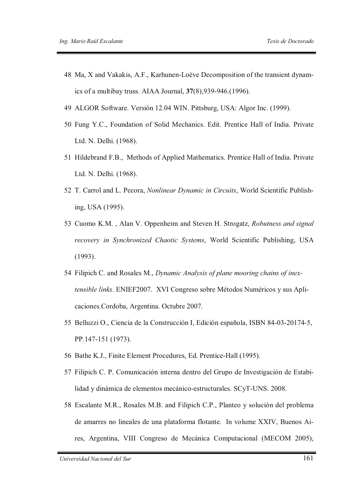- 48 Ma, X and Vakakis, A.F., Karhunen-Loève Decomposition of the transient dynamics of a multibay truss. AIAA Journal, **37**(8),939-946.(1996).
- 49 ALGOR Software. Versión 12.04 WIN. Pittsburg, USA: Algor Inc. (1999).
- 50 Fung Y.C., Foundation of Solid Mechanics. Edit. Prentice Hall of India. Private Ltd. N. Delhi. (1968).
- 51 Hildebrand F.B., Methods of Applied Mathematics. Prentice Hall of India. Private Ltd. N. Delhi. (1968).
- 52 T. Carrol and L. Pecora, *Nonlinear Dynamic in Circuits*, World Scientific Publishing, USA (1995).
- 53 Cuomo K.M. , Alan V. Oppenheim and Steven H. Strogatz, *Robutness and signal recovery in Synchronized Chaotic Systems*, World Scientific Publishing, USA (1993).
- 54 Filipich C. and Rosales M., *Dynamic Analysis of plane mooring chains of inextensible links*. ENIEF2007. XVI Congreso sobre Métodos Numéricos y sus Aplicaciones.Cordoba, Argentina. Octubre 2007.
- 55 Belluzzi O., Ciencia de la Construcción I, Edición española, ISBN 84-03-20174-5, PP.147-151 (1973).
- 56 Bathe K.J., Finite Element Procedures, Ed. Prentice-Hall (1995).
- 57 Filipich C. P. Comunicación interna dentro del Grupo de Investigación de Estabilidad y dinámica de elementos mecánico-estructurales. SCyT-UNS. 2008.
- 58 Escalante M.R., Rosales M.B. and Filipich C.P., Planteo y solución del problema de amarres no lineales de una plataforma flotante. In volume XXIV, Buenos Aires, Argentina, VIII Congreso de Mecánica Computacional (MECOM 2005),